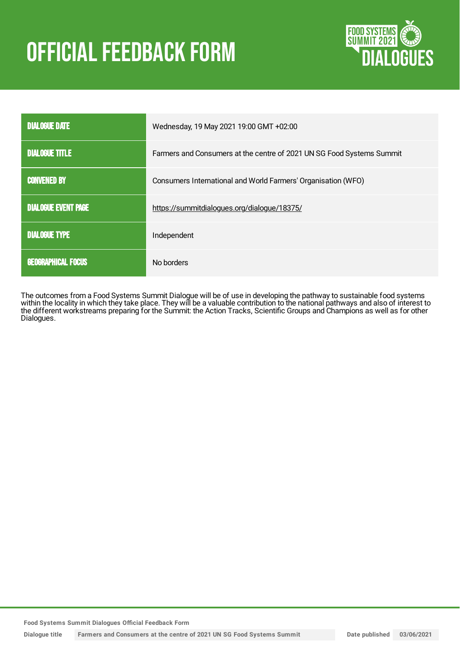# **OFFICIAL FEEDBACK FORM**



| <b>DIALOGUE DATE</b>       | Wednesday, 19 May 2021 19:00 GMT +02:00                               |
|----------------------------|-----------------------------------------------------------------------|
| <b>DIALOGUE TITLE</b>      | Farmers and Consumers at the centre of 2021 UN SG Food Systems Summit |
| <b>CONVENED BY</b>         | Consumers International and World Farmers' Organisation (WFO)         |
| <b>DIALOGUE EVENT PAGE</b> | https://summitdialogues.org/dialogue/18375/                           |
| <b>DIALOGUE TYPE</b>       | Independent                                                           |
| <b>GEOGRAPHICAL FOCUS</b>  | No borders                                                            |

The outcomes from a Food Systems Summit Dialogue will be of use in developing the pathway to sustainable food systems within the locality in which they take place. They will be a valuable contribution to the national pathways and also of interest to the different workstreams preparing for the Summit: the Action Tracks, Scientific Groups and Champions as well as for other Dialogues.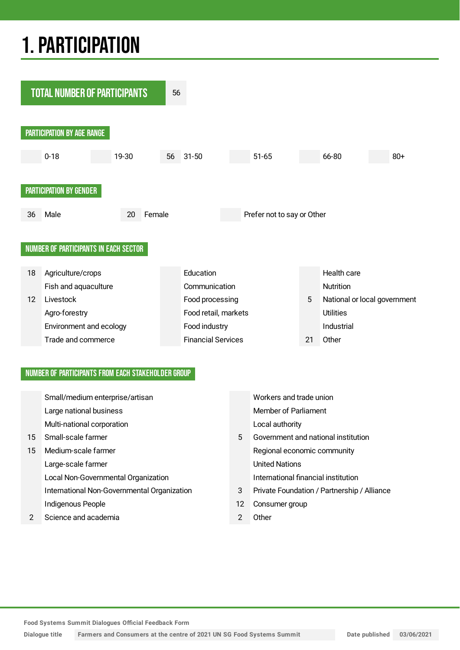# 1.PARTICIPATION



## NUMBER OF PARTICIPANTS FROM EACH STAKEHOLDER GROUP

|               | Small/medium enterprise/artisan             |    | Workers and trade union                     |
|---------------|---------------------------------------------|----|---------------------------------------------|
|               | Large national business                     |    | <b>Member of Parliament</b>                 |
|               | Multi-national corporation                  |    | Local authority                             |
| 15            | Small-scale farmer                          | 5  | Government and national institution         |
| 15            | Medium-scale farmer                         |    | Regional economic community                 |
|               | Large-scale farmer                          |    | <b>United Nations</b>                       |
|               | Local Non-Governmental Organization         |    | International financial institution         |
|               | International Non-Governmental Organization | 3  | Private Foundation / Partnership / Alliance |
|               | Indigenous People                           | 12 | Consumer group                              |
| $\mathcal{P}$ | Science and academia                        | 2  | Other                                       |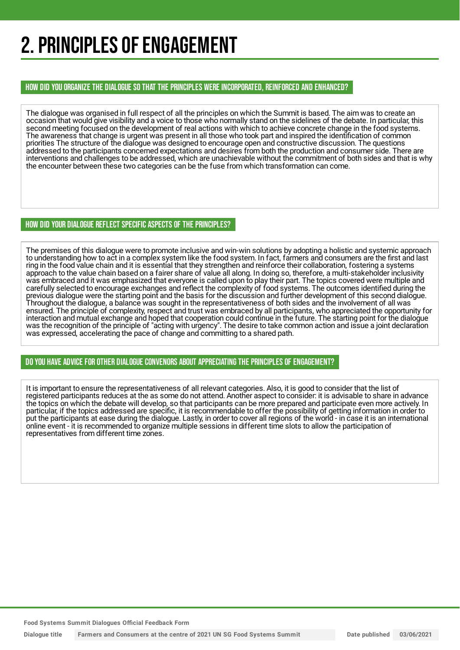# 2. PRINCIPLES OF ENGAGEMENT

HOW DID YOU ORGANIZE THE DIALOGUE SO THAT THE PRINCIPLES WERE INCORPORATED, REINFORCED AND ENHANCED?

The dialogue was organised in full respect of all the principles on which the Summit is based. The aim was to create an occasion that would give visibility and a voice to those who normally stand on the sidelines of the debate. In particular, this second meeting focused on the development of real actions with which to achieve concrete change in the food systems. The awareness that change is urgent was present in all those who took part and inspired the identification of common priorities The structure of the dialogue was designed to encourage open and constructive discussion. The questions addressed to the participants concerned expectations and desires from both the production and consumer side. There are interventions and challenges to be addressed, which are unachievable without the commitment of both sides and that is why the encounter between these two categories can be the fuse from which transformation can come.

## HOW DID YOUR DIALOGUE REFLECT SPECIFIC ASPECTS OF THE PRINCIPLES?

The premises of this dialogue were to promote inclusive and win-win solutions by adopting a holistic and systemic approach to understanding how to act in a complex system like the food system. In fact, farmers and consumers are the first and last ring in the food value chain and it is essential that they strengthen and reinforce their collaboration, fostering a systems approach to the value chain based on a fairer share of value all along. In doing so, therefore, a multi-stakeholder inclusivity was embraced and it was emphasized that everyone is called upon to play their part. The topics covered were multiple and carefully selected to encourage exchanges and reflect the complexity of food systems. The outcomes identified during the previous dialogue were the starting point and the basis for the discussion and further development of this second dialogue. Throughout the dialogue, a balance was sought in the representativeness of both sides and the involvement of all was ensured. The principle of complexity, respect and trust was embraced by all participants, who appreciated the opportunity for interaction and mutual exchange and hoped that cooperation could continue in the future. The starting point for the dialogue was the recognition of the principle of "acting with urgency". The desire to take common action and issue a joint declaration was expressed, accelerating the pace of change and committing to a shared path.

## DO YOU HAVE ADVICE FOR OTHER DIALOGUE CONVENORS ABOUT APPRECIATINGTHE PRINCIPLES OF ENGAGEMENT?

It is important to ensure the representativeness of all relevant categories. Also, it is good to consider that the list of registered participants reduces at the as some do not attend. Another aspect to consider: it is advisable to share in advance the topics on which the debate will develop, so that participants can be more prepared and participate even more actively. In particular, if the topics addressed are specific, it is recommendable to offer the possibility of getting information in order to put the participants at ease during the dialogue. Lastly, in order to cover all regions of the world - in case it is an international online event - it is recommended to organize multiple sessions in different time slots to allow the participation of representatives from different time zones.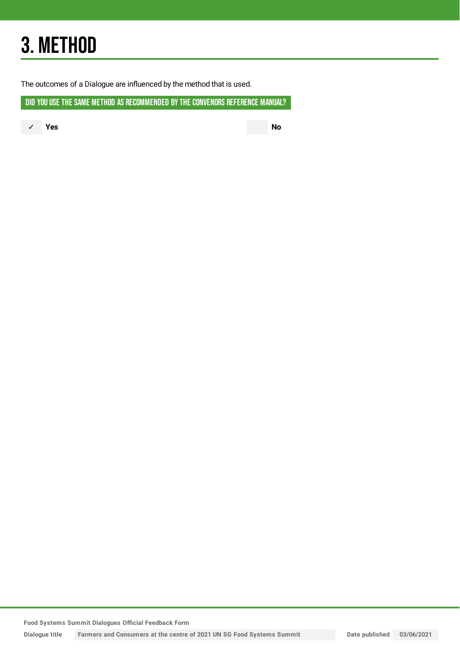# 3. METHOD

The outcomes of a Dialogue are influenced by the method that is used.

DID YOU USE THE SAME METHOD AS RECOMMENDED BY THE CONVENORS REFERENCE MANUAL?

✓ **Yes No**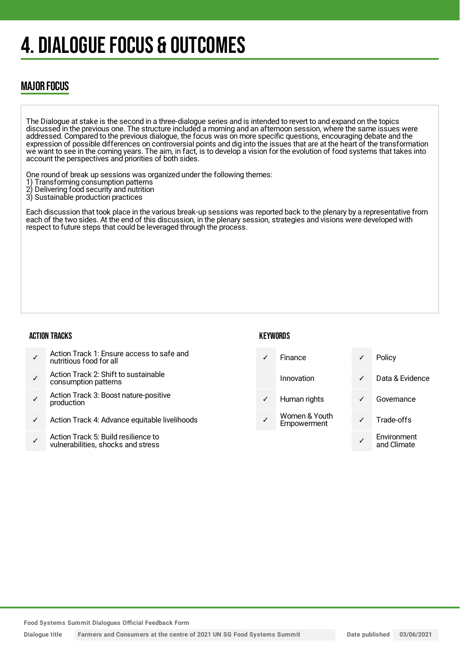# 4. DIALOGUE FOCUS & OUTCOMES

# MAJOR FOCUS

The Dialogue at stake is the second in a three-dialogue series and is intended to revert to and expand on the topics discussed in the previous one. The structure included a morning and an afternoon session, where the same issues were addressed. Compared to the previous dialogue, the focus was on more specific questions, encouraging debate and the expression of possible differences on controversial points and dig into the issues that are at the heart of the transformation we want to see in the coming years. The aim, in fact, is to develop a vision for the evolution of food systems that takes into account the perspectives and priorities of both sides.

One round of break up sessions was organized under the following themes:

- 1) Transforming consumption patterns<br>2) Delivering food security and nutrition
- 2) Delivering food security and nutrition
- 3) Sustainable production practices

Each discussion that took place in the various break-up sessions was reported back to the plenary by a representative from each of the two sides. At the end of this discussion, in the plenary session, strategies and visions were developed with respect to future steps that could be leveraged through the process.

### ACTION TRACKS

## **KEYWORDS**

| Action Track 1: Ensure access to safe and<br>nutritious food for all      | Finance                      | ✓            | Policy                     |
|---------------------------------------------------------------------------|------------------------------|--------------|----------------------------|
| Action Track 2: Shift to sustainable<br>consumption patterns              | Innovation                   | $\checkmark$ | Data & Evidence            |
| Action Track 3: Boost nature-positive<br>production                       | Human rights                 | $\checkmark$ | Governance                 |
| Action Track 4: Advance equitable livelihoods                             | Women & Youth<br>Empowerment |              | Trade-offs                 |
| Action Track 5: Build resilience to<br>vulnerabilities, shocks and stress |                              |              | Environment<br>and Climate |
|                                                                           |                              |              |                            |

**Food Systems Summit Dialogues Official Feedback Form**

Dialogue title Farmers and Consumers at the centre of 2021 UN SG Food Systems Summit Date published 03/06/2021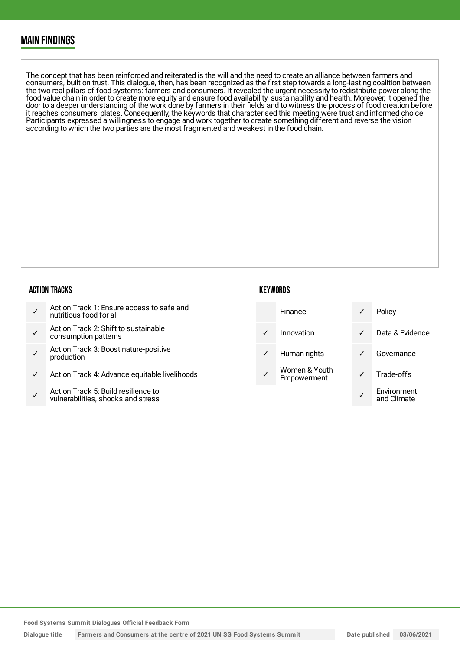# MAIN FINDINGS

The concept that has been reinforced and reiterated is the will and the need to create an alliance between farmers and consumers, built on trust. This dialogue, then, has been recognized as the first step towards a long-lasting coalition between the two real pillars of food systems: farmers and consumers. It revealed the urgent necessity to redistribute power along the food value chain in order to create more equity and ensure food availability, sustainability and health. Moreover, it opened the door to a deeper understanding of the work done by farmers in their fields and to witness the process of food creation before it reaches consumers' plates. Consequently, the keywords that characterised this meeting were trust and informed choice. Participants expressed a willingness to engage and work together to create something different and reverse the vision according to which the two parties are the most fragmented and weakest in the food chain.

#### ACTION TRACKS

|  | Action Track 1: Ensure access to safe and<br>nutritious food for all |
|--|----------------------------------------------------------------------|
|--|----------------------------------------------------------------------|

- ✓ Action Track 2: Shift to sustainable consumption patterns
- ✓ Action Track 3: Boost nature-positive production
- Action Track 4: Advance equitable livelihoods
- ✓ Action Track 5: Build resilience to vulnerabilities, shocks and stress

### **KEYWORDS**

|              | Finance                      | ✓ | Policy                     |
|--------------|------------------------------|---|----------------------------|
| ✓            | Innovation                   | ✓ | Data & Evidence            |
| $\checkmark$ | Human rights                 | ✓ | Governance                 |
|              | Women & Youth<br>Empowerment | ✓ | Trade-offs                 |
|              |                              |   | Environment<br>and Climate |

**Food Systems Summit Dialogues Official Feedback Form**

Dialogue title Farmers and Consumers at the centre of 2021 UN SG Food Systems Summit Date published 03/06/2021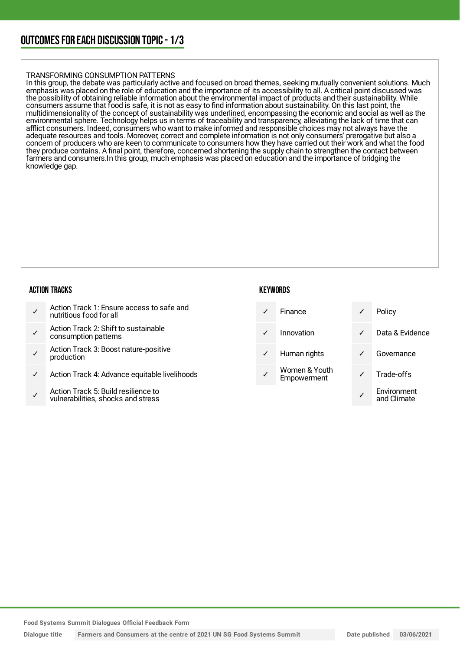# OUTCOMESFOR EACH DISCUSSION TOPIC- 1/3

#### TRANSFORMING CONSUMPTION PATTERNS

In this group, the debate was particularly active and focused on broad themes, seeking mutually convenient solutions. Much emphasis was placed on the role of education and the importance of its accessibility to all. A critical point discussed was the possibility of obtaining reliable information about the environmental impact of products and their sustainability. While consumers assume that food is safe, it is not as easy to find information about sustainability. On this last point, the multidimensionality of the concept of sustainability was underlined, encompassing the economic and social as well as the environmental sphere. Technology helps us in terms of traceability and transparency, alleviating the lack of time that can afflict consumers. Indeed, consumers who want to make informed and responsible choices may not always have the adequate resources and tools. Moreover, correct and complete information is not only consumers' prerogative but also a concern of producers who are keen to communicate to consumers how they have carried out their work and what the food they produce contains. A final point, therefore, concerned shortening the supply chain to strengthen the contact between farmers and consumers.In this group, much emphasis was placed on education and the importance of bridging the knowledge gap.

#### ACTION TRACKS

|  | Action Track 1: Ensure access to safe and<br>nutritious food for all |
|--|----------------------------------------------------------------------|
|--|----------------------------------------------------------------------|

- ✓ Action Track 2: Shift to sustainable consumption patterns
- ✓ Action Track 3: Boost nature-positive production
- Action Track 4: Advance equitable livelihoods
- ✓ Action Track 5: Build resilience to vulnerabilities, shocks and stress

### **KEYWORDS**

- 
- 
- 
- Women & Youth
- Finance **v** Policy ✓ Innovation ✓ Data & Evidence Human rights **v** Governance Women & Toum<br>Empowerment V Trade-offs ✓ Environment and Climate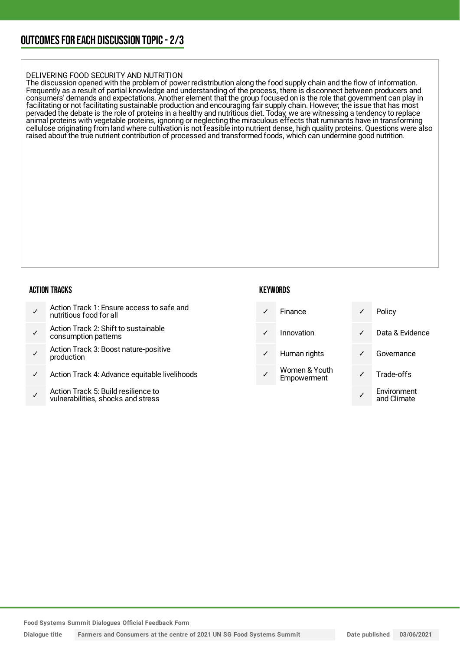# OUTCOMESFOR EACH DISCUSSION TOPIC- 2/3

#### DELIVERING FOOD SECURITY AND NUTRITION

The discussion opened with the problem of power redistribution along the food supply chain and the flow of information. Frequently as a result of partial knowledge and understanding of the process, there is disconnect between producers and consumers' demands and expectations. Another element that the group focused on is the role that government can play in facilitating or not facilitating sustainable production and encouraging fair supply chain. However, the issue that has most pervaded the debate is the role of proteins in a healthy and nutritious diet. Today, we are witnessing a tendency to replace animal proteins with vegetable proteins, ignoring or neglecting the miraculous effects that ruminants have in transforming cellulose originating from land where cultivation is not feasible into nutrient dense, high quality proteins. Questions were also raised about the true nutrient contribution of processed and transformed foods, which can undermine good nutrition.

#### ACTION TRACKS

|  | Action Track 1: Ensure access to safe and<br>nutritious food for all |
|--|----------------------------------------------------------------------|
|--|----------------------------------------------------------------------|

- ✓ Action Track 2: Shift to sustainable consumption patterns
- ✓ Action Track 3: Boost nature-positive production
- Action Track 4: Advance equitable livelihoods
- ✓ Action Track 5: Build resilience to vulnerabilities, shocks and stress

#### **KEYWORDS**

|  | <b>Finance</b> |  | Policy |
|--|----------------|--|--------|
|--|----------------|--|--------|

Innovation

- Human rights
- Women & Youth Empowerment

| Policy                     |
|----------------------------|
| Data & Evidence            |
| Governance                 |
| Trade-offs                 |
| Environment<br>and Climate |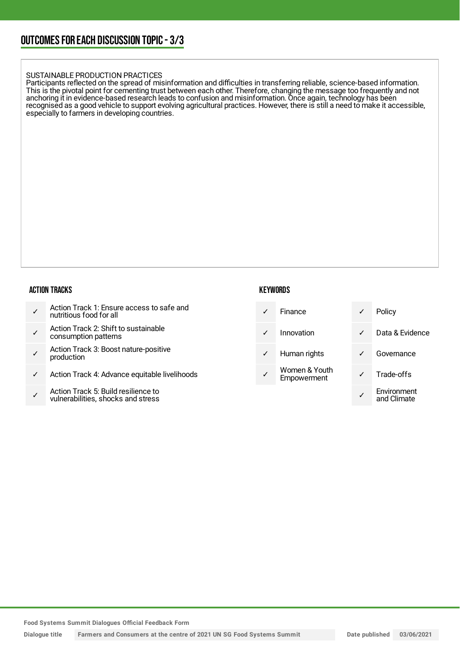#### SUSTAINABLE PRODUCTION PRACTICES

Participants reflected on the spread of misinformation and difficulties in transferring reliable, science-based information. This is the pivotal point for cementing trust between each other. Therefore, changing the message too frequently and not anchoring it in evidence-based research leads to confusion and misinformation. Once again, technology has been recognised as a good vehicle to support evolving agricultural practices. However, there is still a need to make it accessible, especially to farmers in developing countries.

### ACTION TRACKS

- ✓ Action Track 1: Ensure access to safe and nutritious food for all
- ✓ Action Track 2: Shift to sustainable consumption patterns
- ✓ Action Track 3: Boost nature-positive production
- Action Track 4: Advance equitable livelihoods
- ✓ Action Track 5: Build resilience to vulnerabilities, shocks and stress

### **KEYWORDS**

- ✓ Finance ✓ Policy
- 
- 
- Women & Youth
- ✓ Innovation ✓ Data & Evidence ✓ Human rights ✓ Governance Women & Toum<br>Empowerment V Trade-offs ✓ Environment and Climate

**Food Systems Summit Dialogues Official Feedback Form**

Dialogue title Farmers and Consumers at the centre of 2021 UN SG Food Systems Summit Date published 03/06/2021